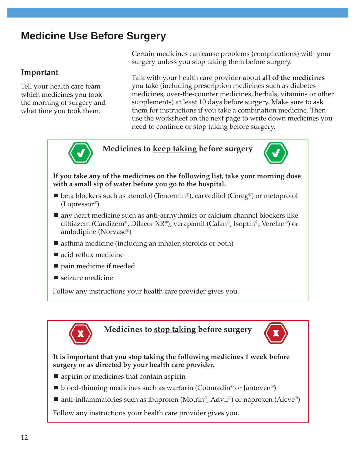## **Medicine Use Before Surgery**

## **Important**

Tell your health care team which medicines you took the morning of surgery and what time you took them.

Certain medicines can cause problems (complications) with your surgery unless you stop taking them before surgery.

Talk with your health care provider about **all of the medicines** you take (including prescription medicines such as diabetes medicines, over-the-counter medicines, herbals, vitamins or other supplements) at least 10 days before surgery. Make sure to ask them for instructions if you take a combination medicine. Then use the worksheet on the next page to write down medicines you need to continue or stop taking before surgery.



**Medicines to keep taking before surgery**



**If you take any of the medicines on the following list, take your morning dose with a small sip of water before you go to the hospital.**

- $\blacksquare$  beta blockers such as atenolol (Tenormin®), carvedilol (Coreg®) or metoprolol (Lopressor®)
- any heart medicine such as anti-arrhythmics or calcium channel blockers like diltiazem (Cardizem®, Dilacor XR®), verapamil (Calan®, Isoptin®, Verelan®) or amlodipine (Norvasc®)
- asthma medicine (including an inhaler, steroids or both)
- acid reflux medicine
- pain medicine if needed
- seizure medicine

Follow any instructions your health care provider gives you.



## **Medicines to stop taking before surgery**



## **It is important that you stop taking the following medicines 1 week before surgery or as directed by your health care provider.**

- aspirin or medicines that contain aspirin
- $\blacksquare$  blood-thinning medicines such as warfarin (Coumadin<sup>®</sup> or Jantoven<sup>®</sup>)
- $\blacksquare$  anti-inflammatories such as ibuprofen (Motrin<sup>®</sup>, Advil<sup>®</sup>) or naproxen (Aleve<sup>®</sup>)

Follow any instructions your health care provider gives you.